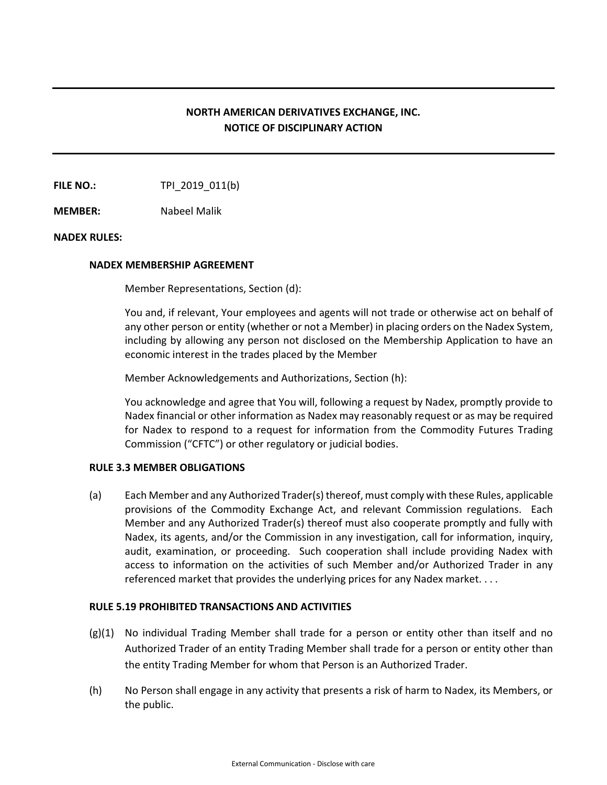# **NORTH AMERICAN DERIVATIVES EXCHANGE, INC. NOTICE OF DISCIPLINARY ACTION**

**FILE NO.:** TPI 2019 011(b)

**MEMBER:** Nabeel Malik

## **NADEX RULES:**

### **NADEX MEMBERSHIP AGREEMENT**

Member Representations, Section (d):

You and, if relevant, Your employees and agents will not trade or otherwise act on behalf of any other person or entity (whether or not a Member) in placing orders on the Nadex System, including by allowing any person not disclosed on the Membership Application to have an economic interest in the trades placed by the Member

Member Acknowledgements and Authorizations, Section (h):

You acknowledge and agree that You will, following a request by Nadex, promptly provide to Nadex financial or other information as Nadex may reasonably request or as may be required for Nadex to respond to a request for information from the Commodity Futures Trading Commission ("CFTC") or other regulatory or judicial bodies.

## **RULE 3.3 MEMBER OBLIGATIONS**

(a) Each Member and any Authorized Trader(s) thereof, must comply with these Rules, applicable provisions of the Commodity Exchange Act, and relevant Commission regulations. Each Member and any Authorized Trader(s) thereof must also cooperate promptly and fully with Nadex, its agents, and/or the Commission in any investigation, call for information, inquiry, audit, examination, or proceeding. Such cooperation shall include providing Nadex with access to information on the activities of such Member and/or Authorized Trader in any referenced market that provides the underlying prices for any Nadex market. . . .

### **RULE 5.19 PROHIBITED TRANSACTIONS AND ACTIVITIES**

- (g)(1) No individual Trading Member shall trade for a person or entity other than itself and no Authorized Trader of an entity Trading Member shall trade for a person or entity other than the entity Trading Member for whom that Person is an Authorized Trader.
- (h) No Person shall engage in any activity that presents a risk of harm to Nadex, its Members, or the public.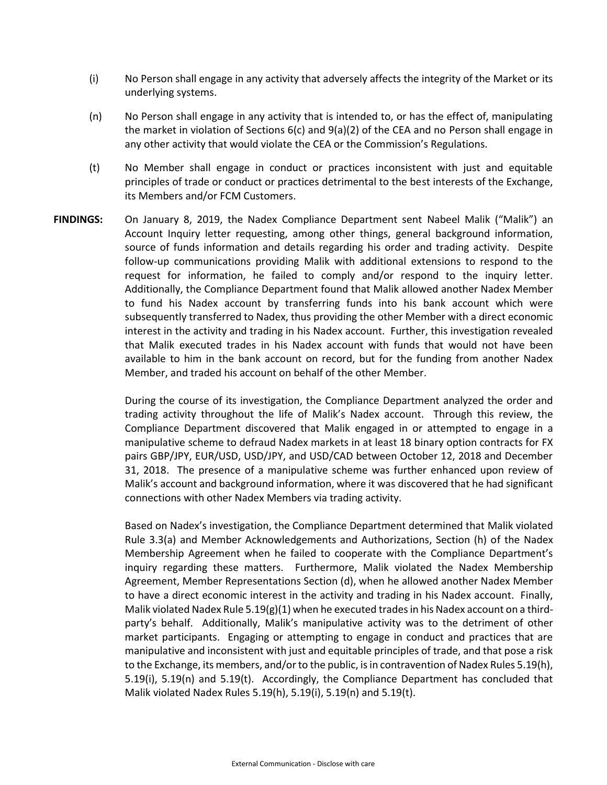- (i) No Person shall engage in any activity that adversely affects the integrity of the Market or its underlying systems.
- (n) No Person shall engage in any activity that is intended to, or has the effect of, manipulating the market in violation of Sections 6(c) and 9(a)(2) of the CEA and no Person shall engage in any other activity that would violate the CEA or the Commission's Regulations.
- (t) No Member shall engage in conduct or practices inconsistent with just and equitable principles of trade or conduct or practices detrimental to the best interests of the Exchange, its Members and/or FCM Customers.
- **FINDINGS:** On January 8, 2019, the Nadex Compliance Department sent Nabeel Malik ("Malik") an Account Inquiry letter requesting, among other things, general background information, source of funds information and details regarding his order and trading activity. Despite follow-up communications providing Malik with additional extensions to respond to the request for information, he failed to comply and/or respond to the inquiry letter. Additionally, the Compliance Department found that Malik allowed another Nadex Member to fund his Nadex account by transferring funds into his bank account which were subsequently transferred to Nadex, thus providing the other Member with a direct economic interest in the activity and trading in his Nadex account. Further, this investigation revealed that Malik executed trades in his Nadex account with funds that would not have been available to him in the bank account on record, but for the funding from another Nadex Member, and traded his account on behalf of the other Member.

During the course of its investigation, the Compliance Department analyzed the order and trading activity throughout the life of Malik's Nadex account. Through this review, the Compliance Department discovered that Malik engaged in or attempted to engage in a manipulative scheme to defraud Nadex markets in at least 18 binary option contracts for FX pairs GBP/JPY, EUR/USD, USD/JPY, and USD/CAD between October 12, 2018 and December 31, 2018. The presence of a manipulative scheme was further enhanced upon review of Malik's account and background information, where it was discovered that he had significant connections with other Nadex Members via trading activity.

Based on Nadex's investigation, the Compliance Department determined that Malik violated Rule 3.3(a) and Member Acknowledgements and Authorizations, Section (h) of the Nadex Membership Agreement when he failed to cooperate with the Compliance Department's inquiry regarding these matters. Furthermore, Malik violated the Nadex Membership Agreement, Member Representations Section (d), when he allowed another Nadex Member to have a direct economic interest in the activity and trading in his Nadex account. Finally, Malik violated Nadex Rule 5.19(g)(1) when he executed trades in his Nadex account on a thirdparty's behalf. Additionally, Malik's manipulative activity was to the detriment of other market participants. Engaging or attempting to engage in conduct and practices that are manipulative and inconsistent with just and equitable principles of trade, and that pose a risk to the Exchange, its members, and/or to the public, is in contravention of Nadex Rules 5.19(h), 5.19(i), 5.19(n) and 5.19(t). Accordingly, the Compliance Department has concluded that Malik violated Nadex Rules 5.19(h), 5.19(i), 5.19(n) and 5.19(t).